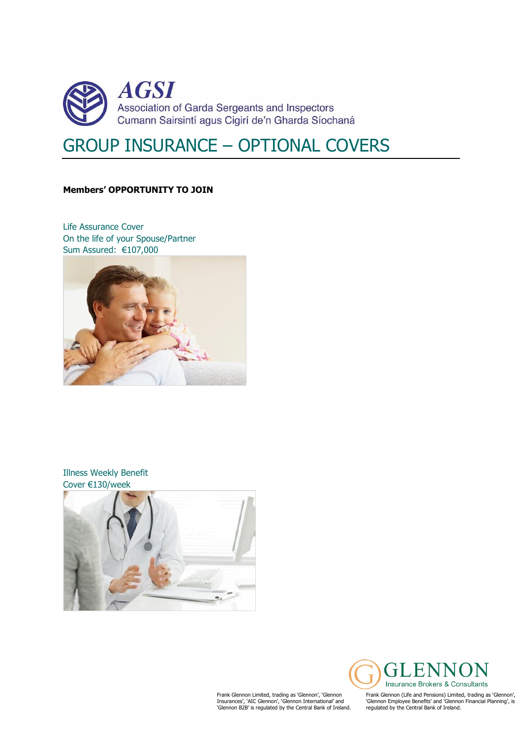

# GROUP INSURANCE – OPTIONAL COVERS

#### **Members' OPPORTUNITY TO JOIN**

Life Assurance Cover On the life of your Spouse/Partner Sum Assured: €107,000



#### Illness Weekly Benefit Cover €130/week



Frank Glennon Limited, trading as 'Glennon', 'Glennon Insurances', 'AIC Glennon', 'Glennon International' and 'Glennon B2B' is regulated by the Central Bank of Ireland.



Frank Glennon (Life and Pensions) Limited, trading as 'Glennon', 'Glennon Employee Benefits' and 'Glennon Financial Planning', is regulated by the Central Bank of Ireland.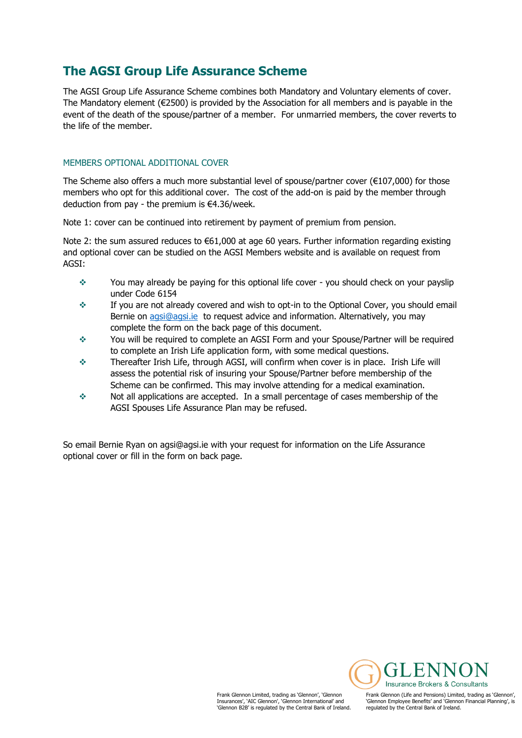### **The AGSI Group Life Assurance Scheme**

The AGSI Group Life Assurance Scheme combines both Mandatory and Voluntary elements of cover. The Mandatory element ( $\epsilon$ 2500) is provided by the Association for all members and is payable in the event of the death of the spouse/partner of a member. For unmarried members, the cover reverts to the life of the member.

#### MEMBERS OPTIONAL ADDITIONAL COVER

The Scheme also offers a much more substantial level of spouse/partner cover  $(\epsilon 107,000)$  for those members who opt for this additional cover. The cost of the add-on is paid by the member through deduction from pay - the premium is €4.36/week.

Note 1: cover can be continued into retirement by payment of premium from pension.

Note 2: the sum assured reduces to €61,000 at age 60 years. Further information regarding existing and optional cover can be studied on the AGSI Members website and is available on request from AGSI:

- \* You may already be paying for this optional life cover you should check on your payslip under Code 6154
- If you are not already covered and wish to opt-in to the Optional Cover, you should email Bernie on [agsi@agsi.ie](mailto:agsi@agsi.ie) to request advice and information. Alternatively, you may complete the form on the back page of this document.
- You will be required to complete an AGSI Form and your Spouse/Partner will be required to complete an Irish Life application form, with some medical questions.
- Thereafter Irish Life, through AGSI, will confirm when cover is in place. Irish Life will assess the potential risk of insuring your Spouse/Partner before membership of the Scheme can be confirmed. This may involve attending for a medical examination.
- Not all applications are accepted. In a small percentage of cases membership of the AGSI Spouses Life Assurance Plan may be refused.

So email Bernie Ryan on agsi@agsi.ie with your request for information on the Life Assurance optional cover or fill in the form on back page.

> Frank Glennon Limited, trading as 'Glennon', 'Glennon Insurances', 'AIC Glennon', 'Glennon International' and 'Glennon B2B' is regulated by the Central Bank of Ireland.

**Insurance Brokers & Consultants** 

Frank Glennon (Life and Pensions) Limited, trading as 'Glennon', 'Glennon Employee Benefits' and 'Glennon Financial Planning', is regulated by the Central Bank of Ireland.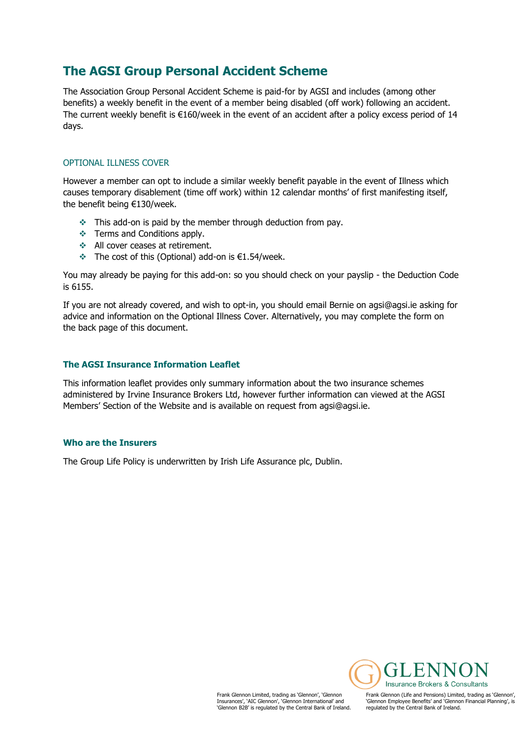## **The AGSI Group Personal Accident Scheme**

The Association Group Personal Accident Scheme is paid-for by AGSI and includes (among other benefits) a weekly benefit in the event of a member being disabled (off work) following an accident. The current weekly benefit is €160/week in the event of an accident after a policy excess period of 14 days.

#### OPTIONAL ILLNESS COVER

However a member can opt to include a similar weekly benefit payable in the event of Illness which causes temporary disablement (time off work) within 12 calendar months' of first manifesting itself, the benefit being €130/week.

- $\cdot$  This add-on is paid by the member through deduction from pay.
- Terms and Conditions apply.
- All cover ceases at retirement.
- The cost of this (Optional) add-on is €1.54/week.

You may already be paying for this add-on: so you should check on your payslip - the Deduction Code is 6155.

If you are not already covered, and wish to opt-in, you should email Bernie on agsi@agsi.ie asking for advice and information on the Optional Illness Cover. Alternatively, you may complete the form on the back page of this document.

#### **The AGSI Insurance Information Leaflet**

This information leaflet provides only summary information about the two insurance schemes administered by Irvine Insurance Brokers Ltd, however further information can viewed at the AGSI Members' Section of the Website and is available on request from agsi@agsi.ie.

#### **Who are the Insurers**

The Group Life Policy is underwritten by Irish Life Assurance plc, Dublin.

Frank Glennon Limited, trading as 'Glennon', 'Glennon Insurances', 'AIC Glennon', 'Glennon International' and 'Glennon B2B' is regulated by the Central Bank of Ireland.

**Insurance Brokers & Consultants** Frank Glennon (Life and Pensions) Limited, trading as 'Glennon', 'Glennon Employee Benefits' and 'Glennon Financial Planning', is regulated by the Central Bank of Ireland.

ЕŅ